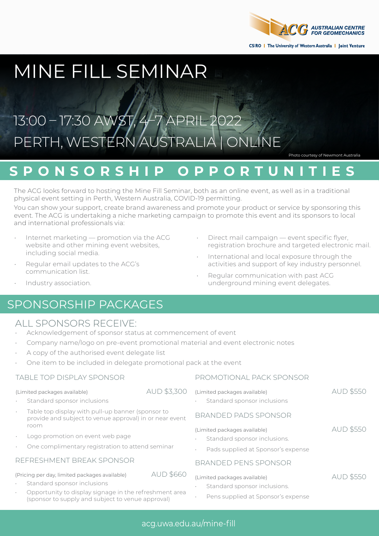

# MINE FILL SEMINAR

# 13:00 – 17:30 AWST, 4-7 APRIL PERTH, WESTERN AUSTRALIA | ONLINE

Photo courtesy of Newmont Australia

## **SPONSORSHIP OPPORTUNITIES**

The ACG looks forward to hosting the Mine Fill Seminar, both as an online event, as well as in a traditional physical event setting in Perth, Western Australia, COVID-19 permitting.

You can show your support, create brand awareness and promote your product or service by sponsoring this event. The ACG is undertaking a niche marketing campaign to promote this event and its sponsors to local and international professionals via:

- Internet marketing promotion via the ACG website and other mining event websites, including social media.
- Regular email updates to the ACG's communication list.
- Direct mail campaign event specific flyer, registration brochure and targeted electronic mail.
- International and local exposure through the activities and support of key industry personnel.
- Regular communication with past ACG underground mining event delegates.

• Industry association.

### SPONSORSHIP PACKAGES

### ALL SPONSORS RECEIVE:

- Acknowledgement of sponsor status at commencement of event
- Company name/logo on pre-event promotional material and event electronic notes
- A copy of the authorised event delegate list
- One item to be included in delegate promotional pack at the event

#### TABLE TOP DISPLAY SPONSOR

(Limited packages available) AUD \$3,300

- Standard sponsor inclusions
- Table top display with pull-up banner (sponsor to provide and subject to venue approval) in or near event room
- Logo promotion on event web page
- One complimentary registration to attend seminar

#### REFRESHMENT BREAK SPONSOR

(Pricing per day, limited packages available) AUD \$660

- Standard sponsor inclusions
- Opportunity to display signage in the refreshment area (sponsor to supply and subject to venue approval)

#### PROMOTIONAL PACK SPONSOR

| (Limited packages available)<br>Standard sponsor inclusions<br>٠                                             | <b>AUD \$550</b> |
|--------------------------------------------------------------------------------------------------------------|------------------|
| BRANDED PADS SPONSOR                                                                                         |                  |
| (Limited packages available)<br>Standard sponsor inclusions.<br>٠<br>Pads supplied at Sponsor's expense<br>٠ | <b>AUD \$550</b> |
| BRANDED PENS SPONSOR                                                                                         |                  |
| (Limited packages available)                                                                                 |                  |

- Standard sponsor inclusions.
- Pens supplied at Sponsor's expense